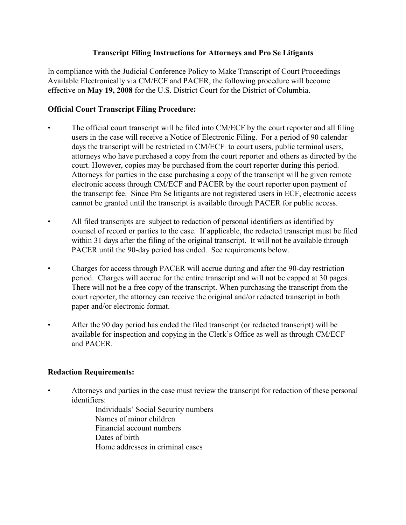## **Transcript Filing Instructions for Attorneys and Pro Se Litigants**

In compliance with the Judicial Conference Policy to Make Transcript of Court Proceedings Available Electronically via CM/ECF and PACER, the following procedure will become effective on **May 19, 2008** for the U.S. District Court for the District of Columbia.

# **Official Court Transcript Filing Procedure:**

- The official court transcript will be filed into CM/ECF by the court reporter and all filing users in the case will receive a Notice of Electronic Filing. For a period of 90 calendar days the transcript will be restricted in CM/ECF to court users, public terminal users, attorneys who have purchased a copy from the court reporter and others as directed by the court. However, copies may be purchased from the court reporter during this period. Attorneys for parties in the case purchasing a copy of the transcript will be given remote electronic access through CM/ECF and PACER by the court reporter upon payment of the transcript fee. Since Pro Se litigants are not registered users in ECF, electronic access cannot be granted until the transcript is available through PACER for public access.
- All filed transcripts are subject to redaction of personal identifiers as identified by counsel of record or parties to the case. If applicable, the redacted transcript must be filed within 31 days after the filing of the original transcript. It will not be available through PACER until the 90-day period has ended. See requirements below.
- Charges for access through PACER will accrue during and after the 90-day restriction period. Charges will accrue for the entire transcript and will not be capped at 30 pages. There will not be a free copy of the transcript. When purchasing the transcript from the court reporter, the attorney can receive the original and/or redacted transcript in both paper and/or electronic format.
- After the 90 day period has ended the filed transcript (or redacted transcript) will be available for inspection and copying in the Clerk's Office as well as through CM/ECF and PACER.

### **Redaction Requirements:**

• Attorneys and parties in the case must review the transcript for redaction of these personal identifiers:

Individuals' Social Security numbers Names of minor children Financial account numbers Dates of birth Home addresses in criminal cases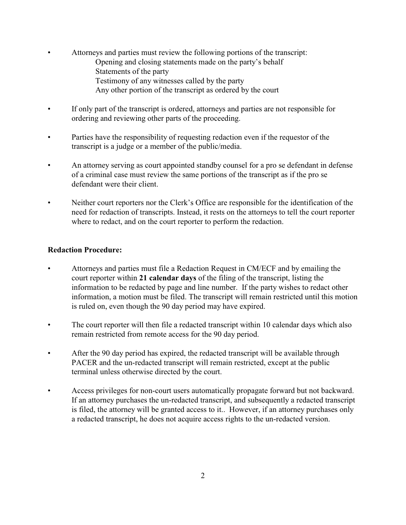- Attorneys and parties must review the following portions of the transcript: Opening and closing statements made on the party's behalf Statements of the party Testimony of any witnesses called by the party Any other portion of the transcript as ordered by the court
- If only part of the transcript is ordered, attorneys and parties are not responsible for ordering and reviewing other parts of the proceeding.
- Parties have the responsibility of requesting redaction even if the requestor of the transcript is a judge or a member of the public/media.
- An attorney serving as court appointed standby counsel for a pro se defendant in defense of a criminal case must review the same portions of the transcript as if the pro se defendant were their client.
- Neither court reporters nor the Clerk's Office are responsible for the identification of the need for redaction of transcripts. Instead, it rests on the attorneys to tell the court reporter where to redact, and on the court reporter to perform the redaction.

#### **Redaction Procedure:**

- Attorneys and parties must file a Redaction Request in CM/ECF and by emailing the court reporter within **21 calendar days** of the filing of the transcript, listing the information to be redacted by page and line number. If the party wishes to redact other information, a motion must be filed. The transcript will remain restricted until this motion is ruled on, even though the 90 day period may have expired.
- The court reporter will then file a redacted transcript within 10 calendar days which also remain restricted from remote access for the 90 day period.
- After the 90 day period has expired, the redacted transcript will be available through PACER and the un-redacted transcript will remain restricted, except at the public terminal unless otherwise directed by the court.
- Access privileges for non-court users automatically propagate forward but not backward. If an attorney purchases the un-redacted transcript, and subsequently a redacted transcript is filed, the attorney will be granted access to it.. However, if an attorney purchases only a redacted transcript, he does not acquire access rights to the un-redacted version.